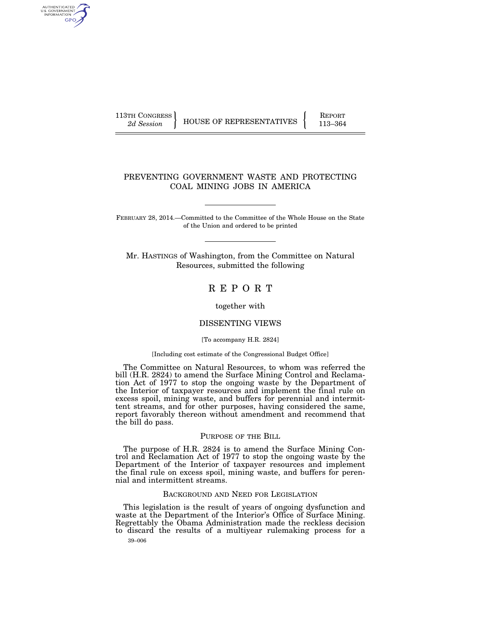AUTHENTICATED<br>U.S. GOVERNMENT<br>INFORMATION **GPO** 

113TH CONGRESS HOUSE OF REPRESENTATIVES FEPORT 113–364

# PREVENTING GOVERNMENT WASTE AND PROTECTING COAL MINING JOBS IN AMERICA

FEBRUARY 28, 2014.—Committed to the Committee of the Whole House on the State of the Union and ordered to be printed

Mr. HASTINGS of Washington, from the Committee on Natural Resources, submitted the following

# R E P O R T

together with

## DISSENTING VIEWS

#### [To accompany H.R. 2824]

#### [Including cost estimate of the Congressional Budget Office]

The Committee on Natural Resources, to whom was referred the bill (H.R. 2824) to amend the Surface Mining Control and Reclamation Act of 1977 to stop the ongoing waste by the Department of the Interior of taxpayer resources and implement the final rule on excess spoil, mining waste, and buffers for perennial and intermittent streams, and for other purposes, having considered the same, report favorably thereon without amendment and recommend that the bill do pass.

## PURPOSE OF THE BILL

The purpose of H.R. 2824 is to amend the Surface Mining Control and Reclamation Act of 1977 to stop the ongoing waste by the Department of the Interior of taxpayer resources and implement the final rule on excess spoil, mining waste, and buffers for perennial and intermittent streams.

## BACKGROUND AND NEED FOR LEGISLATION

39–006 This legislation is the result of years of ongoing dysfunction and waste at the Department of the Interior's Office of Surface Mining. Regrettably the Obama Administration made the reckless decision to discard the results of a multiyear rulemaking process for a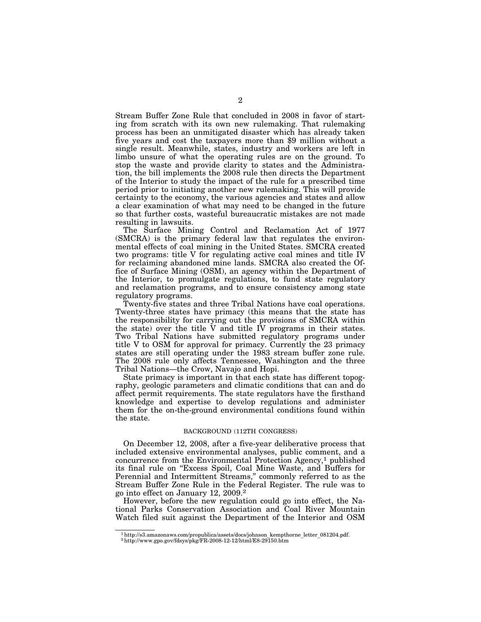Stream Buffer Zone Rule that concluded in 2008 in favor of starting from scratch with its own new rulemaking. That rulemaking process has been an unmitigated disaster which has already taken five years and cost the taxpayers more than \$9 million without a single result. Meanwhile, states, industry and workers are left in limbo unsure of what the operating rules are on the ground. To stop the waste and provide clarity to states and the Administration, the bill implements the 2008 rule then directs the Department of the Interior to study the impact of the rule for a prescribed time period prior to initiating another new rulemaking. This will provide certainty to the economy, the various agencies and states and allow a clear examination of what may need to be changed in the future so that further costs, wasteful bureaucratic mistakes are not made resulting in lawsuits.

The Surface Mining Control and Reclamation Act of 1977 (SMCRA) is the primary federal law that regulates the environmental effects of coal mining in the United States. SMCRA created two programs: title V for regulating active coal mines and title IV for reclaiming abandoned mine lands. SMCRA also created the Office of Surface Mining (OSM), an agency within the Department of the Interior, to promulgate regulations, to fund state regulatory and reclamation programs, and to ensure consistency among state regulatory programs.

Twenty-five states and three Tribal Nations have coal operations. Twenty-three states have primacy (this means that the state has the responsibility for carrying out the provisions of SMCRA within the state) over the title  $\dot{V}$  and title  $\dot{V}$  programs in their states. Two Tribal Nations have submitted regulatory programs under title V to OSM for approval for primacy. Currently the 23 primacy states are still operating under the 1983 stream buffer zone rule. The 2008 rule only affects Tennessee, Washington and the three Tribal Nations—the Crow, Navajo and Hopi.

State primacy is important in that each state has different topography, geologic parameters and climatic conditions that can and do affect permit requirements. The state regulators have the firsthand knowledge and expertise to develop regulations and administer them for the on-the-ground environmental conditions found within the state.

### BACKGROUND (112TH CONGRESS)

On December 12, 2008, after a five-year deliberative process that included extensive environmental analyses, public comment, and a concurrence from the Environmental Protection Agency, $<sup>1</sup>$  published</sup> its final rule on ''Excess Spoil, Coal Mine Waste, and Buffers for Perennial and Intermittent Streams,'' commonly referred to as the Stream Buffer Zone Rule in the Federal Register. The rule was to go into effect on January 12, 2009.2

However, before the new regulation could go into effect, the National Parks Conservation Association and Coal River Mountain Watch filed suit against the Department of the Interior and OSM

 $1$ http://s3.amazonaws.com/propublica/assets/docs/johnson\_kempthorne\_letter\_081204.pdf.  $2$ http://www.gpo.gov/fdsys/pkg/FR-2008-12-12/html/E8-29150.htm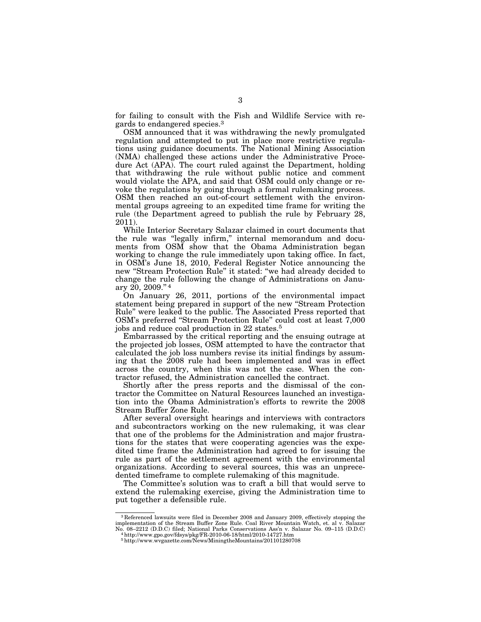for failing to consult with the Fish and Wildlife Service with regards to endangered species.3

OSM announced that it was withdrawing the newly promulgated regulation and attempted to put in place more restrictive regulations using guidance documents. The National Mining Association (NMA) challenged these actions under the Administrative Procedure Act (APA). The court ruled against the Department, holding that withdrawing the rule without public notice and comment would violate the APA, and said that OSM could only change or revoke the regulations by going through a formal rulemaking process. OSM then reached an out-of-court settlement with the environmental groups agreeing to an expedited time frame for writing the rule (the Department agreed to publish the rule by February 28, 2011).

While Interior Secretary Salazar claimed in court documents that the rule was ''legally infirm,'' internal memorandum and documents from OSM show that the Obama Administration began working to change the rule immediately upon taking office. In fact, in OSM's June 18, 2010, Federal Register Notice announcing the new ''Stream Protection Rule'' it stated: ''we had already decided to change the rule following the change of Administrations on January 20, 2009.'' 4

On January 26, 2011, portions of the environmental impact statement being prepared in support of the new ''Stream Protection Rule'' were leaked to the public. The Associated Press reported that OSM's preferred ''Stream Protection Rule'' could cost at least 7,000 jobs and reduce coal production in 22 states.5

Embarrassed by the critical reporting and the ensuing outrage at the projected job losses, OSM attempted to have the contractor that calculated the job loss numbers revise its initial findings by assuming that the 2008 rule had been implemented and was in effect across the country, when this was not the case. When the contractor refused, the Administration cancelled the contract.

Shortly after the press reports and the dismissal of the contractor the Committee on Natural Resources launched an investigation into the Obama Administration's efforts to rewrite the 2008 Stream Buffer Zone Rule.

After several oversight hearings and interviews with contractors and subcontractors working on the new rulemaking, it was clear that one of the problems for the Administration and major frustrations for the states that were cooperating agencies was the expedited time frame the Administration had agreed to for issuing the rule as part of the settlement agreement with the environmental organizations. According to several sources, this was an unprecedented timeframe to complete rulemaking of this magnitude.

The Committee's solution was to craft a bill that would serve to extend the rulemaking exercise, giving the Administration time to put together a defensible rule.

<sup>3</sup> Referenced lawsuits were filed in December 2008 and January 2009, effectively stopping the implementation of the Stream Buffer Zone Rule. Coal River Mountain Watch, et. al v. Salazar  $^{14}$ http://www.gpo.gov/fdsys/pkg/FR-2010-06-18/html/2010-14727.htm

<sup>5</sup>http://www.wvgazette.com/News/MiningtheMountains/201101280708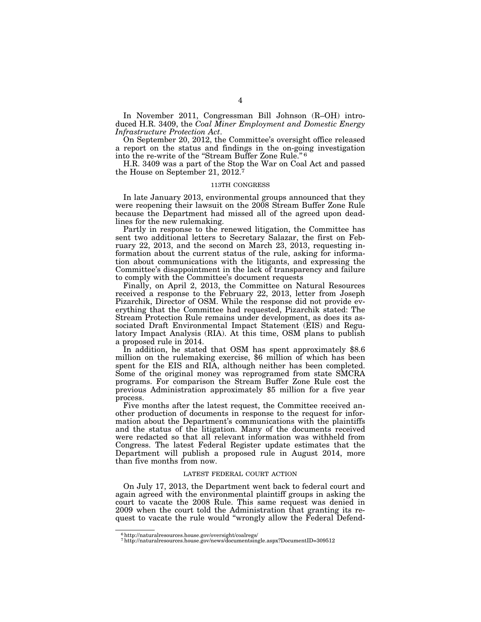In November 2011, Congressman Bill Johnson (R–OH) introduced H.R. 3409, the *Coal Miner Employment and Domestic Energy Infrastructure Protection Act*.

On September 20, 2012, the Committee's oversight office released a report on the status and findings in the on-going investigation into the re-write of the "Stream Buffer Zone Rule."<sup>6</sup>

H.R. 3409 was a part of the Stop the War on Coal Act and passed the House on September 21, 2012.7

#### 113TH CONGRESS

In late January 2013, environmental groups announced that they were reopening their lawsuit on the 2008 Stream Buffer Zone Rule because the Department had missed all of the agreed upon deadlines for the new rulemaking.

Partly in response to the renewed litigation, the Committee has sent two additional letters to Secretary Salazar, the first on February 22, 2013, and the second on March 23, 2013, requesting information about the current status of the rule, asking for information about communications with the litigants, and expressing the Committee's disappointment in the lack of transparency and failure to comply with the Committee's document requests

Finally, on April 2, 2013, the Committee on Natural Resources received a response to the February 22, 2013, letter from Joseph Pizarchik, Director of OSM. While the response did not provide everything that the Committee had requested, Pizarchik stated: The Stream Protection Rule remains under development, as does its associated Draft Environmental Impact Statement (EIS) and Regulatory Impact Analysis (RIA). At this time, OSM plans to publish a proposed rule in 2014.

In addition, he stated that OSM has spent approximately \$8.6 million on the rulemaking exercise, \$6 million of which has been spent for the EIS and RIA, although neither has been completed. Some of the original money was reprogramed from state SMCRA programs. For comparison the Stream Buffer Zone Rule cost the previous Administration approximately \$5 million for a five year process.

Five months after the latest request, the Committee received another production of documents in response to the request for information about the Department's communications with the plaintiffs and the status of the litigation. Many of the documents received were redacted so that all relevant information was withheld from Congress. The latest Federal Register update estimates that the Department will publish a proposed rule in August 2014, more than five months from now.

#### LATEST FEDERAL COURT ACTION

On July 17, 2013, the Department went back to federal court and again agreed with the environmental plaintiff groups in asking the court to vacate the 2008 Rule. This same request was denied in 2009 when the court told the Administration that granting its request to vacate the rule would ''wrongly allow the Federal Defend-

<sup>6</sup>http://naturalresources.house.gov/oversight/coalregs/

<sup>7</sup>http://naturalresources.house.gov/news/documentsingle.aspx?DocumentID=309512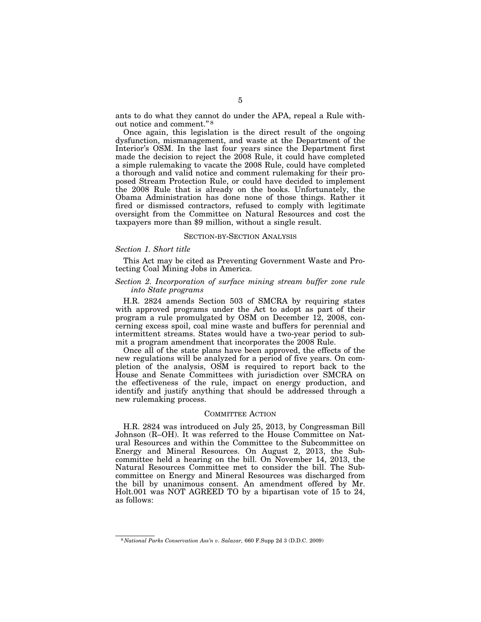ants to do what they cannot do under the APA, repeal a Rule without notice and comment.'' 8

Once again, this legislation is the direct result of the ongoing dysfunction, mismanagement, and waste at the Department of the Interior's OSM. In the last four years since the Department first made the decision to reject the 2008 Rule, it could have completed a simple rulemaking to vacate the 2008 Rule, could have completed a thorough and valid notice and comment rulemaking for their proposed Stream Protection Rule, or could have decided to implement the 2008 Rule that is already on the books. Unfortunately, the Obama Administration has done none of those things. Rather it fired or dismissed contractors, refused to comply with legitimate oversight from the Committee on Natural Resources and cost the taxpayers more than \$9 million, without a single result.

#### SECTION-BY-SECTION ANALYSIS

## *Section 1. Short title*

This Act may be cited as Preventing Government Waste and Protecting Coal Mining Jobs in America.

## *Section 2. Incorporation of surface mining stream buffer zone rule into State programs*

H.R. 2824 amends Section 503 of SMCRA by requiring states with approved programs under the Act to adopt as part of their program a rule promulgated by OSM on December 12, 2008, concerning excess spoil, coal mine waste and buffers for perennial and intermittent streams. States would have a two-year period to submit a program amendment that incorporates the 2008 Rule.

Once all of the state plans have been approved, the effects of the new regulations will be analyzed for a period of five years. On completion of the analysis, OSM is required to report back to the House and Senate Committees with jurisdiction over SMCRA on the effectiveness of the rule, impact on energy production, and identify and justify anything that should be addressed through a new rulemaking process.

## COMMITTEE ACTION

H.R. 2824 was introduced on July 25, 2013, by Congressman Bill Johnson (R–OH). It was referred to the House Committee on Natural Resources and within the Committee to the Subcommittee on Energy and Mineral Resources. On August 2, 2013, the Subcommittee held a hearing on the bill. On November 14, 2013, the Natural Resources Committee met to consider the bill. The Subcommittee on Energy and Mineral Resources was discharged from the bill by unanimous consent. An amendment offered by Mr. Holt.001 was NOT AGREED TO by a bipartisan vote of 15 to 24, as follows:

<sup>8</sup> *National Parks Conservation Ass'n v. Salazar,* 660 F.Supp 2d 3 (D.D.C. 2009)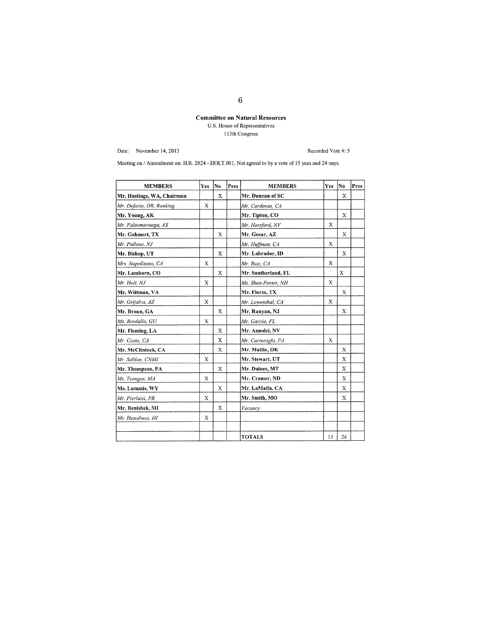## Committee on Natural Resources U.S. House of Representatives 113 th Congress

Date: November 14, 2013

Recorded Vote #:

Meeting on / Amendment on: H.R. 2824 - HOLT.001, Not agreed to by a vote of 15 yeas and 24 nays.

| <b>MEMBERS</b>             | Yes | No          | Pres | <b>MEMBERS</b>      | Yes | No.         | Pres |
|----------------------------|-----|-------------|------|---------------------|-----|-------------|------|
| Mr. Hastings, WA, Chairman |     | $\mathbf x$ |      | Mr. Duncan of SC    |     | X           |      |
| Mr. Defazio, OR, Ranking   | Х   |             |      | Mr. Cardenas, CA    |     |             |      |
| Mr. Young, AK              |     |             |      | Mr. Tipton, CO      |     | X           |      |
| Mr. Faleomavaega, AS       |     |             |      | Mr. Horsford, NV    | X   |             |      |
| Mr. Gohmert, TX            |     | X           |      | Mr. Gosar, AZ       |     | X           |      |
| Mr. Pallone, NJ            |     |             |      | Mr. Huffman, CA     | X   |             |      |
| Mr. Bishop, UT             |     | X           |      | Mr. Labrador, ID    |     | X           |      |
| Mrs. Napolitano, CA        | X   |             |      | Mr. Ruiz, CA        | X   |             |      |
| Mr. Lamborn, CO            |     | X           |      | Mr. Southerland, FL |     | X           |      |
| Mr. Holt, NJ               | X   |             |      | Ms. Shea-Porter, NH | X   |             |      |
| Mr. Wittman, VA            |     |             |      | Mr. Flores, TX      |     | X           |      |
| Mr. Grijalva, AZ           | X   |             |      | Mr. Lowenthal, CA   | X   |             |      |
| Mr. Broun, GA              |     | X           |      | Mr. Runyan, NJ      |     | $\mathbf x$ |      |
| Ms. Bordallo, GU           | X   |             |      | Mr. Garcia, FL      |     |             |      |
| Mr. Fleming, LA            |     | X           |      | Mr. Amodei, NV      |     |             |      |
| Mr. Costa, CA              |     | X           |      | Mr. Cartwright, PA  | X   |             |      |
| Mr. McClintock, CA         |     | X           |      | Mr. Mullin, OK      |     | X           |      |
| Mr. Sablan. CNMI           | X   |             |      | Mr. Stewart, UT     |     | X           |      |
| Mr. Thompson, PA           |     | X           |      | Mr. Daines, MT      |     | X           |      |
| Ms. Tsongas, MA            | X   |             |      | Mr. Cramer, ND      |     | X           |      |
| Ms. Lummis, WY             |     | X           |      | Mr. LaMalfa, CA     |     | Χ           |      |
| Mr. Pierluisi, PR          | X   |             |      | Mr. Smith, MO       |     | Х           |      |
| Mr. Benishek, MI           |     | X           |      | Vacancy             |     |             |      |
| Ms. Hanabusa, HI           | X   |             |      |                     |     |             |      |
|                            |     |             |      |                     |     |             |      |
|                            |     |             |      | <b>TOTALS</b>       | 15  | 24          |      |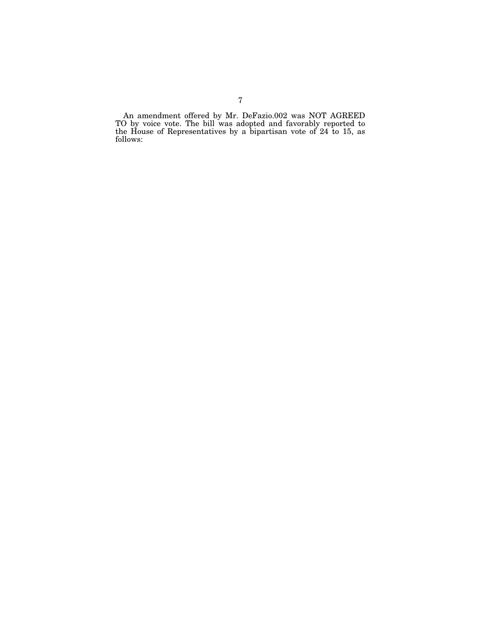An amendment offered by Mr. DeFazio.002 was NOT AGREED TO by voice vote. The bill was adopted and favorably reported to the House of Representatives by a bipartisan vote of 24 to 15, as follows: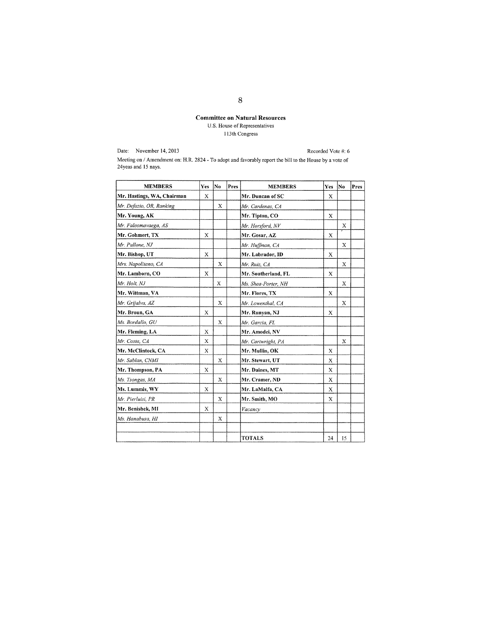## **Committee on Natural Resources**  U.S. House of Representatives 113th Congress

Date: November 14, 2013

Recorded Vote #: 6

Meeting on / Amendment on: H.R. 2824 - To adopt and favorably report the bill to the House by a vote of 24ycas and 15 nays.

| <b>MEMBERS</b>             | Yes | No           | Pres | <b>MEMBERS</b>      | Yes | No | Pres |
|----------------------------|-----|--------------|------|---------------------|-----|----|------|
| Mr. Hastings, WA, Chairman | X   |              |      | Mr. Duncan of SC    | X   |    |      |
| Mr. Defazio, OR, Ranking   |     | $\mathbf{x}$ |      | Mr. Cardenas, CA    |     |    |      |
| Mr. Young, AK              |     |              |      | Mr. Tipton, CO      | X   |    |      |
| Mr. Faleomavaega, AS       |     |              |      | Mr. Horsford, NV    |     | X  |      |
| Mr. Gohmert, TX            | X   |              |      | Mr. Gosar, AZ       | X   |    |      |
| Mr. Pallone, NJ            |     |              |      | Mr. Huffman, CA     |     | X  |      |
| Mr. Bishop, UT             | X   |              |      | Mr. Labrador, ID    | X   |    |      |
| Mrs. Napolitano, CA        |     | X            |      | Mr. Ruiz, CA        |     | X  |      |
| Mr. Lamborn, CO            | X   |              |      | Mr. Southerland, FL | X   |    |      |
| Mr. Holt, NJ               |     | X            |      | Ms. Shea-Porter, NH |     | Х  |      |
| Mr. Wittman, VA            |     |              |      | Mr. Flores, TX      | X   |    |      |
| Mr. Grijalva, AZ           |     | X            |      | Mr. Lowenthal, CA   |     | X  |      |
| Mr. Broun, GA              | X   |              |      | Mr. Runyan, NJ      | X   |    |      |
| Ms. Bordallo, GU           |     | X            |      | Mr. Garcia, FL      |     |    |      |
| Mr. Fleming, LA            | X   |              |      | Mr. Amodei, NV      |     |    |      |
| Mr. Costa, CA              | X   |              |      | Mr. Cartwright, PA  |     | X  |      |
| Mr. McClintock, CA         | X   |              |      | Mr. Mullin, OK      | X   |    |      |
| Mr. Sablan, CNMI           |     | X            |      | Mr. Stewart, UT     | X   |    |      |
| Mr. Thompson, PA           | X   |              |      | Mr. Daines, MT      | X   |    |      |
| Ms. Tsongas, MA            |     | X            |      | Mr. Cramer, ND      | X   |    |      |
| Ms. Lummis, WY             | X   |              |      | Mr. LaMalfa, CA     | X   |    |      |
| Mr. Pierluisi, PR          |     | X            |      | Mr. Smith, MO       | X   |    |      |
| Mr. Benishek, MI           | X   |              |      | Vacancy             |     |    |      |
| Ms. Hanabusa, HI           |     | X            |      |                     |     |    |      |
|                            |     |              |      | <b>TOTALS</b>       | 24  | 15 |      |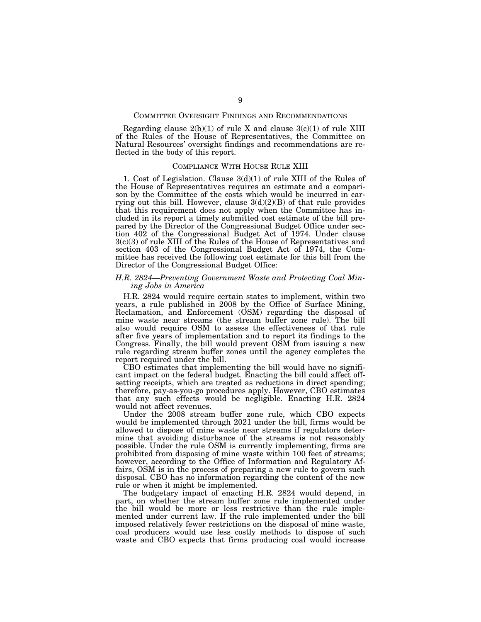## COMMITTEE OVERSIGHT FINDINGS AND RECOMMENDATIONS

Regarding clause  $2(b)(1)$  of rule X and clause  $3(c)(1)$  of rule XIII of the Rules of the House of Representatives, the Committee on Natural Resources' oversight findings and recommendations are reflected in the body of this report.

#### COMPLIANCE WITH HOUSE RULE XIII

1. Cost of Legislation. Clause 3(d)(1) of rule XIII of the Rules of the House of Representatives requires an estimate and a comparison by the Committee of the costs which would be incurred in carrying out this bill. However, clause  $3(d)(2)(B)$  of that rule provides that this requirement does not apply when the Committee has included in its report a timely submitted cost estimate of the bill prepared by the Director of the Congressional Budget Office under section 402 of the Congressional Budget Act of 1974. Under clause 3(c)(3) of rule XIII of the Rules of the House of Representatives and section 403 of the Congressional Budget Act of 1974, the Committee has received the following cost estimate for this bill from the Director of the Congressional Budget Office:

## *H.R. 2824—Preventing Government Waste and Protecting Coal Mining Jobs in America*

H.R. 2824 would require certain states to implement, within two years, a rule published in 2008 by the Office of Surface Mining, Reclamation, and Enforcement (OSM) regarding the disposal of mine waste near streams (the stream buffer zone rule). The bill also would require OSM to assess the effectiveness of that rule after five years of implementation and to report its findings to the Congress. Finally, the bill would prevent OSM from issuing a new rule regarding stream buffer zones until the agency completes the report required under the bill.

CBO estimates that implementing the bill would have no significant impact on the federal budget. Enacting the bill could affect offsetting receipts, which are treated as reductions in direct spending; therefore, pay-as-you-go procedures apply. However, CBO estimates that any such effects would be negligible. Enacting H.R. 2824 would not affect revenues.

Under the 2008 stream buffer zone rule, which CBO expects would be implemented through 2021 under the bill, firms would be allowed to dispose of mine waste near streams if regulators determine that avoiding disturbance of the streams is not reasonably possible. Under the rule OSM is currently implementing, firms are prohibited from disposing of mine waste within 100 feet of streams; however, according to the Office of Information and Regulatory Affairs, OSM is in the process of preparing a new rule to govern such disposal. CBO has no information regarding the content of the new rule or when it might be implemented.

The budgetary impact of enacting H.R. 2824 would depend, in part, on whether the stream buffer zone rule implemented under the bill would be more or less restrictive than the rule implemented under current law. If the rule implemented under the bill imposed relatively fewer restrictions on the disposal of mine waste, coal producers would use less costly methods to dispose of such waste and CBO expects that firms producing coal would increase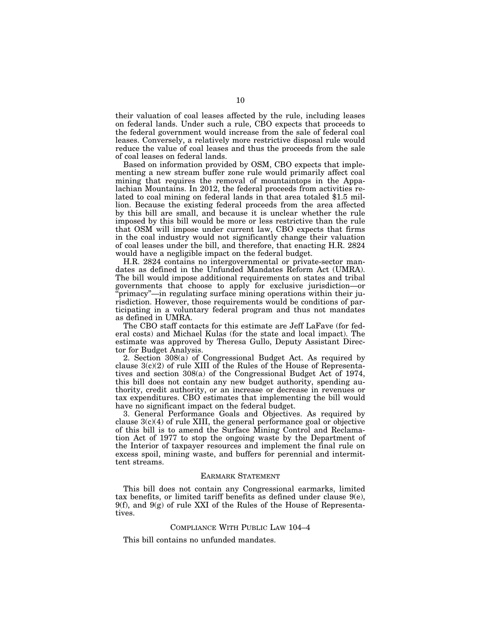their valuation of coal leases affected by the rule, including leases on federal lands. Under such a rule, CBO expects that proceeds to the federal government would increase from the sale of federal coal leases. Conversely, a relatively more restrictive disposal rule would reduce the value of coal leases and thus the proceeds from the sale of coal leases on federal lands.

Based on information provided by OSM, CBO expects that implementing a new stream buffer zone rule would primarily affect coal mining that requires the removal of mountaintops in the Appalachian Mountains. In 2012, the federal proceeds from activities related to coal mining on federal lands in that area totaled \$1.5 million. Because the existing federal proceeds from the area affected by this bill are small, and because it is unclear whether the rule imposed by this bill would be more or less restrictive than the rule that OSM will impose under current law, CBO expects that firms in the coal industry would not significantly change their valuation of coal leases under the bill, and therefore, that enacting H.R. 2824 would have a negligible impact on the federal budget.

H.R. 2824 contains no intergovernmental or private-sector mandates as defined in the Unfunded Mandates Reform Act (UMRA). The bill would impose additional requirements on states and tribal governments that choose to apply for exclusive jurisdiction—or 'primacy"—in regulating surface mining operations within their jurisdiction. However, those requirements would be conditions of participating in a voluntary federal program and thus not mandates as defined in UMRA.

The CBO staff contacts for this estimate are Jeff LaFave (for federal costs) and Michael Kulas (for the state and local impact). The estimate was approved by Theresa Gullo, Deputy Assistant Director for Budget Analysis.

2. Section 308(a) of Congressional Budget Act. As required by clause 3(c)(2) of rule XIII of the Rules of the House of Representatives and section 308(a) of the Congressional Budget Act of 1974, this bill does not contain any new budget authority, spending authority, credit authority, or an increase or decrease in revenues or tax expenditures. CBO estimates that implementing the bill would have no significant impact on the federal budget.

3. General Performance Goals and Objectives. As required by clause  $3(c)(4)$  of rule XIII, the general performance goal or objective of this bill is to amend the Surface Mining Control and Reclamation Act of 1977 to stop the ongoing waste by the Department of the Interior of taxpayer resources and implement the final rule on excess spoil, mining waste, and buffers for perennial and intermittent streams.

#### EARMARK STATEMENT

This bill does not contain any Congressional earmarks, limited tax benefits, or limited tariff benefits as defined under clause 9(e),  $9(f)$ , and  $9(g)$  of rule XXI of the Rules of the House of Representatives.

## COMPLIANCE WITH PUBLIC LAW 104–4

This bill contains no unfunded mandates.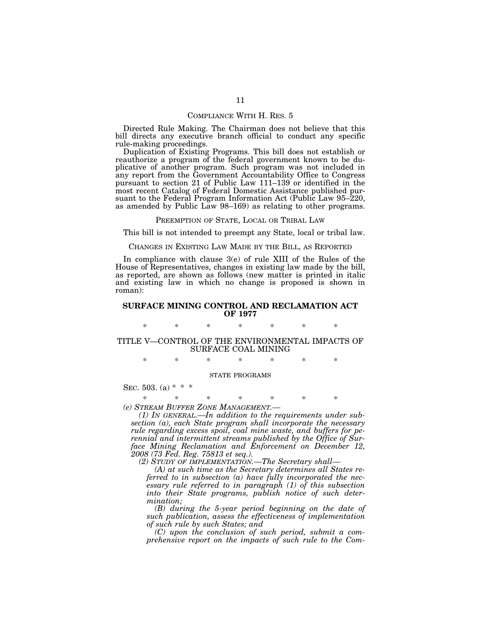#### COMPLIANCE WITH H. RES. 5

Directed Rule Making. The Chairman does not believe that this bill directs any executive branch official to conduct any specific rule-making proceedings.

Duplication of Existing Programs. This bill does not establish or reauthorize a program of the federal government known to be duplicative of another program. Such program was not included in any report from the Government Accountability Office to Congress pursuant to section 21 of Public Law 111–139 or identified in the most recent Catalog of Federal Domestic Assistance published pursuant to the Federal Program Information Act (Public Law 95–220, as amended by Public Law 98–169) as relating to other programs.

PREEMPTION OF STATE, LOCAL OR TRIBAL LAW

This bill is not intended to preempt any State, local or tribal law.

CHANGES IN EXISTING LAW MADE BY THE BILL, AS REPORTED

In compliance with clause 3(e) of rule XIII of the Rules of the House of Representatives, changes in existing law made by the bill, as reported, are shown as follows (new matter is printed in italic and existing law in which no change is proposed is shown in roman):

### **SURFACE MINING CONTROL AND RECLAMATION ACT OF 1977**

\* \* \* \* \* \* \*

TITLE V—CONTROL OF THE ENVIRONMENTAL IMPACTS OF SURFACE COAL MINING

\* \* \* \* \* \* \*

#### STATE PROGRAMS

SEC. 503. (a)  $* * *$ 

\* \* \* \* \* \* \*

*(e) STREAM BUFFER ZONE MANAGEMENT.— (1) IN GENERAL.—In addition to the requirements under subsection (a), each State program shall incorporate the necessary rule regarding excess spoil, coal mine waste, and buffers for perennial and intermittent streams published by the Office of Surface Mining Reclamation and Enforcement on December 12, 2008 (73 Fed. Reg. 75813 et seq.).* 

*(2) STUDY OF IMPLEMENTATION.—The Secretary shall—* 

*(A) at such time as the Secretary determines all States referred to in subsection (a) have fully incorporated the necessary rule referred to in paragraph (1) of this subsection into their State programs, publish notice of such determination;* 

*(B) during the 5-year period beginning on the date of such publication, assess the effectiveness of implementation of such rule by such States; and* 

*(C) upon the conclusion of such period, submit a comprehensive report on the impacts of such rule to the Com-*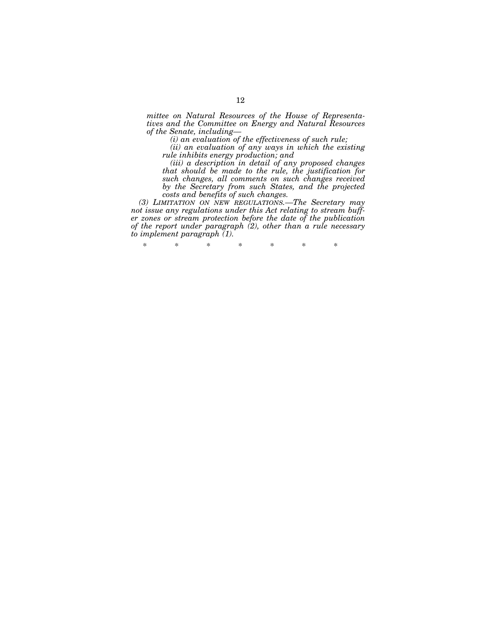*mittee on Natural Resources of the House of Representatives and the Committee on Energy and Natural Resources of the Senate, including—* 

*(i) an evaluation of the effectiveness of such rule;* 

*(ii) an evaluation of any ways in which the existing rule inhibits energy production; and* 

*(iii) a description in detail of any proposed changes that should be made to the rule, the justification for such changes, all comments on such changes received by the Secretary from such States, and the projected costs and benefits of such changes.* 

*(3) LIMITATION ON NEW REGULATIONS.—The Secretary may not issue any regulations under this Act relating to stream buffer zones or stream protection before the date of the publication of the report under paragraph (2), other than a rule necessary to implement paragraph (1).* 

\* \* \* \* \* \* \*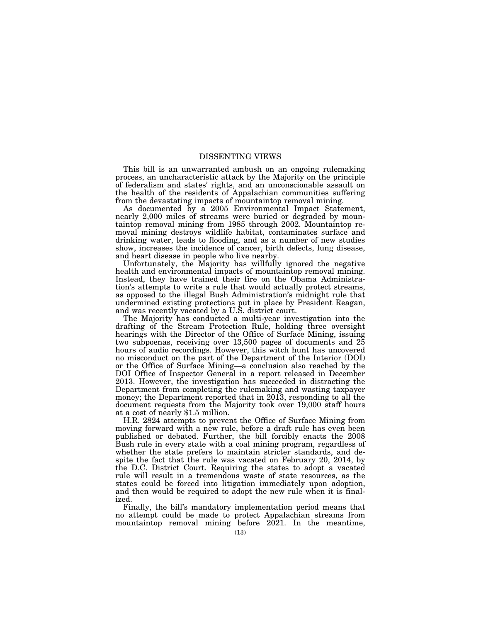## DISSENTING VIEWS

This bill is an unwarranted ambush on an ongoing rulemaking process, an uncharacteristic attack by the Majority on the principle of federalism and states' rights, and an unconscionable assault on the health of the residents of Appalachian communities suffering from the devastating impacts of mountaintop removal mining.

As documented by a 2005 Environmental Impact Statement, nearly 2,000 miles of streams were buried or degraded by mountaintop removal mining from 1985 through 2002. Mountaintop removal mining destroys wildlife habitat, contaminates surface and drinking water, leads to flooding, and as a number of new studies show, increases the incidence of cancer, birth defects, lung disease, and heart disease in people who live nearby.

Unfortunately, the Majority has willfully ignored the negative health and environmental impacts of mountaintop removal mining. Instead, they have trained their fire on the Obama Administration's attempts to write a rule that would actually protect streams, as opposed to the illegal Bush Administration's midnight rule that undermined existing protections put in place by President Reagan, and was recently vacated by a U.S. district court.

The Majority has conducted a multi-year investigation into the drafting of the Stream Protection Rule, holding three oversight hearings with the Director of the Office of Surface Mining, issuing two subpoenas, receiving over 13,500 pages of documents and  $25$ hours of audio recordings. However, this witch hunt has uncovered no misconduct on the part of the Department of the Interior (DOI) or the Office of Surface Mining—a conclusion also reached by the DOI Office of Inspector General in a report released in December 2013. However, the investigation has succeeded in distracting the Department from completing the rulemaking and wasting taxpayer money; the Department reported that in 2013, responding to all the document requests from the Majority took over 19,000 staff hours at a cost of nearly \$1.5 million.

H.R. 2824 attempts to prevent the Office of Surface Mining from moving forward with a new rule, before a draft rule has even been published or debated. Further, the bill forcibly enacts the 2008 Bush rule in every state with a coal mining program, regardless of whether the state prefers to maintain stricter standards, and despite the fact that the rule was vacated on February 20, 2014, by the D.C. District Court. Requiring the states to adopt a vacated rule will result in a tremendous waste of state resources, as the states could be forced into litigation immediately upon adoption, and then would be required to adopt the new rule when it is finalized.

Finally, the bill's mandatory implementation period means that no attempt could be made to protect Appalachian streams from mountaintop removal mining before 2021. In the meantime,